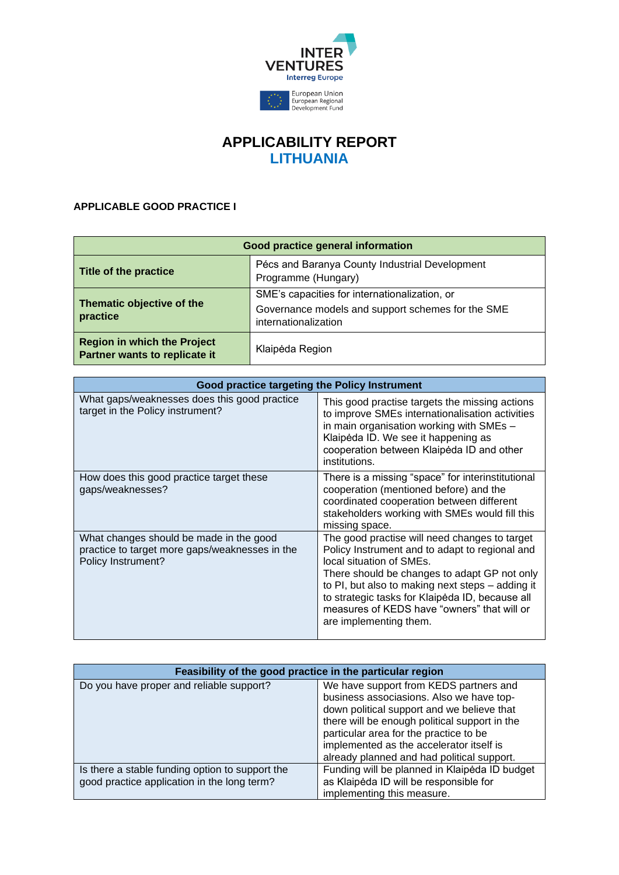

## **APPLICABILITY REPORT LITHUANIA**

## **APPLICABLE GOOD PRACTICE I**

| Good practice general information                                   |                                                                                                                            |  |
|---------------------------------------------------------------------|----------------------------------------------------------------------------------------------------------------------------|--|
| Title of the practice                                               | Pécs and Baranya County Industrial Development<br>Programme (Hungary)                                                      |  |
| Thematic objective of the<br>practice                               | SME's capacities for internationalization, or<br>Governance models and support schemes for the SME<br>internationalization |  |
| <b>Region in which the Project</b><br>Partner wants to replicate it | Klaipėda Region                                                                                                            |  |

| <b>Good practice targeting the Policy Instrument</b>                                                            |                                                                                                                                                                                                                                                                                                                                                             |
|-----------------------------------------------------------------------------------------------------------------|-------------------------------------------------------------------------------------------------------------------------------------------------------------------------------------------------------------------------------------------------------------------------------------------------------------------------------------------------------------|
| What gaps/weaknesses does this good practice<br>target in the Policy instrument?                                | This good practise targets the missing actions<br>to improve SMEs internationalisation activities<br>in main organisation working with SMEs -<br>Klaipėda ID. We see it happening as<br>cooperation between Klaipėda ID and other<br>institutions.                                                                                                          |
| How does this good practice target these<br>gaps/weaknesses?                                                    | There is a missing "space" for interinstitutional<br>cooperation (mentioned before) and the<br>coordinated cooperation between different<br>stakeholders working with SMEs would fill this<br>missing space.                                                                                                                                                |
| What changes should be made in the good<br>practice to target more gaps/weaknesses in the<br>Policy Instrument? | The good practise will need changes to target<br>Policy Instrument and to adapt to regional and<br>local situation of SMEs.<br>There should be changes to adapt GP not only<br>to PI, but also to making next steps - adding it<br>to strategic tasks for Klaipėda ID, because all<br>measures of KEDS have "owners" that will or<br>are implementing them. |

| Feasibility of the good practice in the particular region                                      |                                                                                                                                                                                                                                                                                                                       |
|------------------------------------------------------------------------------------------------|-----------------------------------------------------------------------------------------------------------------------------------------------------------------------------------------------------------------------------------------------------------------------------------------------------------------------|
| Do you have proper and reliable support?                                                       | We have support from KEDS partners and<br>business associasions. Also we have top-<br>down political support and we believe that<br>there will be enough political support in the<br>particular area for the practice to be<br>implemented as the accelerator itself is<br>already planned and had political support. |
| Is there a stable funding option to support the<br>good practice application in the long term? | Funding will be planned in Klaipėda ID budget<br>as Klaipėda ID will be responsible for<br>implementing this measure.                                                                                                                                                                                                 |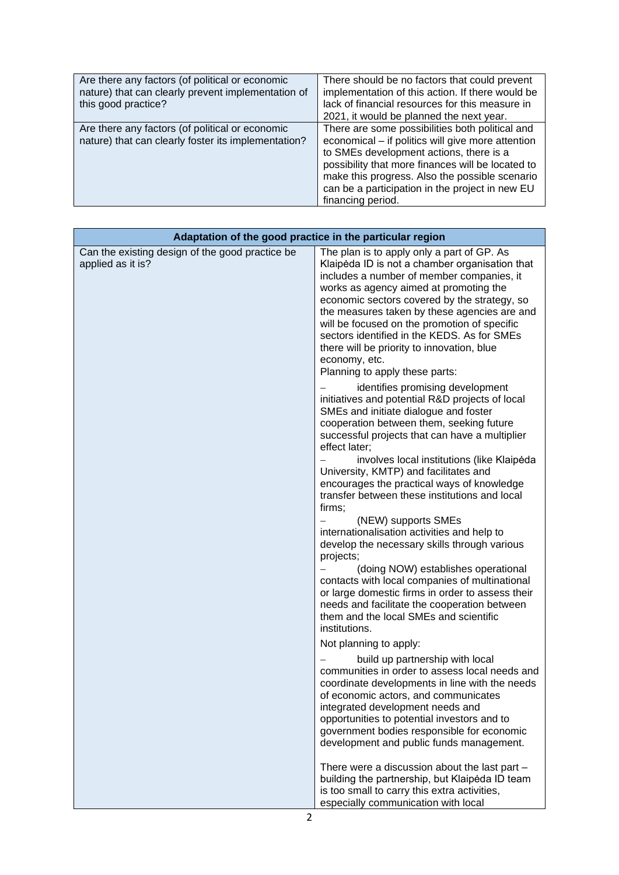| Are there any factors (of political or economic<br>nature) that can clearly prevent implementation of<br>this good practice? | There should be no factors that could prevent<br>implementation of this action. If there would be<br>lack of financial resources for this measure in<br>2021, it would be planned the next year.                                                                                                                               |
|------------------------------------------------------------------------------------------------------------------------------|--------------------------------------------------------------------------------------------------------------------------------------------------------------------------------------------------------------------------------------------------------------------------------------------------------------------------------|
| Are there any factors (of political or economic<br>nature) that can clearly foster its implementation?                       | There are some possibilities both political and<br>economical - if politics will give more attention<br>to SMEs development actions, there is a<br>possibility that more finances will be located to<br>make this progress. Also the possible scenario<br>can be a participation in the project in new EU<br>financing period. |

| Adaptation of the good practice in the particular region             |                                                                                                                                                                                                                                                                                                                                                                                                                                                                                                                                                                                                                                                                                                                                                                                                                                        |
|----------------------------------------------------------------------|----------------------------------------------------------------------------------------------------------------------------------------------------------------------------------------------------------------------------------------------------------------------------------------------------------------------------------------------------------------------------------------------------------------------------------------------------------------------------------------------------------------------------------------------------------------------------------------------------------------------------------------------------------------------------------------------------------------------------------------------------------------------------------------------------------------------------------------|
| Can the existing design of the good practice be<br>applied as it is? | The plan is to apply only a part of GP. As<br>Klaipėda ID is not a chamber organisation that<br>includes a number of member companies, it<br>works as agency aimed at promoting the<br>economic sectors covered by the strategy, so<br>the measures taken by these agencies are and<br>will be focused on the promotion of specific<br>sectors identified in the KEDS. As for SMEs<br>there will be priority to innovation, blue<br>economy, etc.<br>Planning to apply these parts:                                                                                                                                                                                                                                                                                                                                                    |
|                                                                      | identifies promising development<br>initiatives and potential R&D projects of local<br>SMEs and initiate dialogue and foster<br>cooperation between them, seeking future<br>successful projects that can have a multiplier<br>effect later:<br>involves local institutions (like Klaipėda<br>University, KMTP) and facilitates and<br>encourages the practical ways of knowledge<br>transfer between these institutions and local<br>firms:<br>(NEW) supports SMEs<br>internationalisation activities and help to<br>develop the necessary skills through various<br>projects;<br>(doing NOW) establishes operational<br>contacts with local companies of multinational<br>or large domestic firms in order to assess their<br>needs and facilitate the cooperation between<br>them and the local SMEs and scientific<br>institutions. |
|                                                                      | Not planning to apply:<br>build up partnership with local<br>communities in order to assess local needs and<br>coordinate developments in line with the needs<br>of economic actors, and communicates<br>integrated development needs and<br>opportunities to potential investors and to<br>government bodies responsible for economic<br>development and public funds management.<br>There were a discussion about the last part -<br>building the partnership, but Klaipėda ID team<br>is too small to carry this extra activities,<br>especially communication with local                                                                                                                                                                                                                                                           |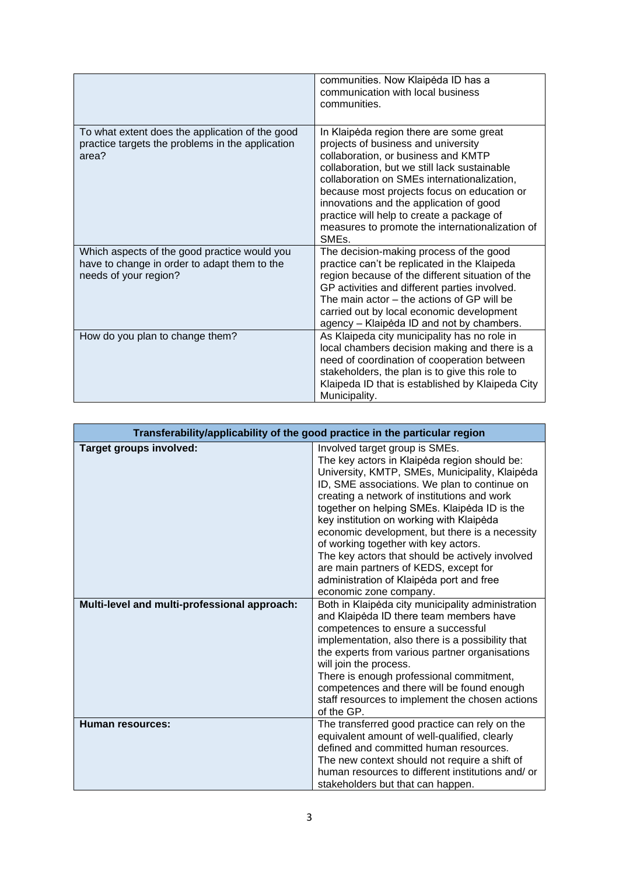|                                                                                                                       | communities. Now Klaipėda ID has a<br>communication with local business<br>communities.                                                                                                                                                                                                                                                                                                                                              |
|-----------------------------------------------------------------------------------------------------------------------|--------------------------------------------------------------------------------------------------------------------------------------------------------------------------------------------------------------------------------------------------------------------------------------------------------------------------------------------------------------------------------------------------------------------------------------|
| To what extent does the application of the good<br>practice targets the problems in the application<br>area?          | In Klaipėda region there are some great<br>projects of business and university<br>collaboration, or business and KMTP<br>collaboration, but we still lack sustainable<br>collaboration on SMEs internationalization,<br>because most projects focus on education or<br>innovations and the application of good<br>practice will help to create a package of<br>measures to promote the internationalization of<br>SME <sub>s</sub> . |
| Which aspects of the good practice would you<br>have to change in order to adapt them to the<br>needs of your region? | The decision-making process of the good<br>practice can't be replicated in the Klaipeda<br>region because of the different situation of the<br>GP activities and different parties involved.<br>The main actor – the actions of GP will be<br>carried out by local economic development<br>agency - Klaipėda ID and not by chambers.                                                                                                 |
| How do you plan to change them?                                                                                       | As Klaipeda city municipality has no role in<br>local chambers decision making and there is a<br>need of coordination of cooperation between<br>stakeholders, the plan is to give this role to<br>Klaipeda ID that is established by Klaipeda City<br>Municipality.                                                                                                                                                                  |

| Transferability/applicability of the good practice in the particular region |                                                                                                                                                                                                                                                                                                                                                                                                                                                                                                                                                                                         |
|-----------------------------------------------------------------------------|-----------------------------------------------------------------------------------------------------------------------------------------------------------------------------------------------------------------------------------------------------------------------------------------------------------------------------------------------------------------------------------------------------------------------------------------------------------------------------------------------------------------------------------------------------------------------------------------|
| Target groups involved:                                                     | Involved target group is SMEs.<br>The key actors in Klaipėda region should be:<br>University, KMTP, SMEs, Municipality, Klaipėda<br>ID, SME associations. We plan to continue on<br>creating a network of institutions and work<br>together on helping SMEs. Klaipėda ID is the<br>key institution on working with Klaipėda<br>economic development, but there is a necessity<br>of working together with key actors.<br>The key actors that should be actively involved<br>are main partners of KEDS, except for<br>administration of Klaipėda port and free<br>economic zone company. |
| Multi-level and multi-professional approach:                                | Both in Klaipėda city municipality administration<br>and Klaipėda ID there team members have<br>competences to ensure a successful<br>implementation, also there is a possibility that<br>the experts from various partner organisations<br>will join the process.<br>There is enough professional commitment,<br>competences and there will be found enough<br>staff resources to implement the chosen actions<br>of the GP.                                                                                                                                                           |
| <b>Human resources:</b>                                                     | The transferred good practice can rely on the<br>equivalent amount of well-qualified, clearly<br>defined and committed human resources.<br>The new context should not require a shift of<br>human resources to different institutions and/or<br>stakeholders but that can happen.                                                                                                                                                                                                                                                                                                       |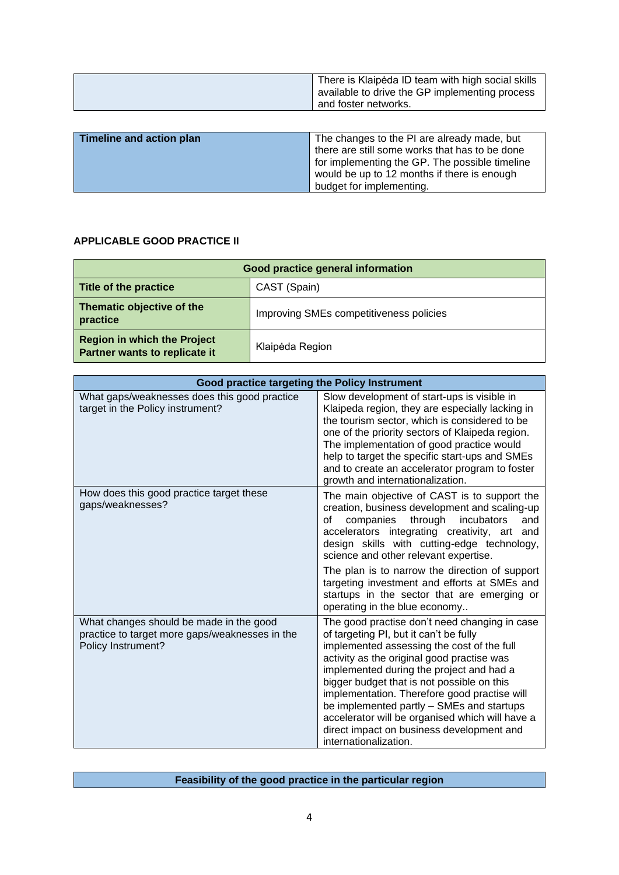| There is Klaipėda ID team with high social skills<br>available to drive the GP implementing process<br>and foster networks. |
|-----------------------------------------------------------------------------------------------------------------------------|
|                                                                                                                             |

| Timeline and action plan | The changes to the PI are already made, but    |
|--------------------------|------------------------------------------------|
|                          | there are still some works that has to be done |
|                          | for implementing the GP. The possible timeline |
|                          | would be up to 12 months if there is enough    |
|                          | budget for implementing.                       |

## **APPLICABLE GOOD PRACTICE II**

| Good practice general information                                   |                                         |  |
|---------------------------------------------------------------------|-----------------------------------------|--|
| Title of the practice                                               | CAST (Spain)                            |  |
| Thematic objective of the<br>practice                               | Improving SMEs competitiveness policies |  |
| <b>Region in which the Project</b><br>Partner wants to replicate it | Klaipėda Region                         |  |

| Good practice targeting the Policy Instrument                                                                   |                                                                                                                                                                                                                                                                                                                                                                                                                                                                                                     |
|-----------------------------------------------------------------------------------------------------------------|-----------------------------------------------------------------------------------------------------------------------------------------------------------------------------------------------------------------------------------------------------------------------------------------------------------------------------------------------------------------------------------------------------------------------------------------------------------------------------------------------------|
| What gaps/weaknesses does this good practice<br>target in the Policy instrument?                                | Slow development of start-ups is visible in<br>Klaipeda region, they are especially lacking in<br>the tourism sector, which is considered to be<br>one of the priority sectors of Klaipeda region.<br>The implementation of good practice would<br>help to target the specific start-ups and SMEs<br>and to create an accelerator program to foster<br>growth and internationalization.                                                                                                             |
| How does this good practice target these<br>gaps/weaknesses?                                                    | The main objective of CAST is to support the<br>creation, business development and scaling-up<br>through<br>companies<br>incubators<br>οf<br>and<br>accelerators integrating creativity, art and<br>design skills with cutting-edge technology,<br>science and other relevant expertise.<br>The plan is to narrow the direction of support<br>targeting investment and efforts at SMEs and<br>startups in the sector that are emerging or<br>operating in the blue economy                          |
| What changes should be made in the good<br>practice to target more gaps/weaknesses in the<br>Policy Instrument? | The good practise don't need changing in case<br>of targeting PI, but it can't be fully<br>implemented assessing the cost of the full<br>activity as the original good practise was<br>implemented during the project and had a<br>bigger budget that is not possible on this<br>implementation. Therefore good practise will<br>be implemented partly - SMEs and startups<br>accelerator will be organised which will have a<br>direct impact on business development and<br>internationalization. |

## **Feasibility of the good practice in the particular region**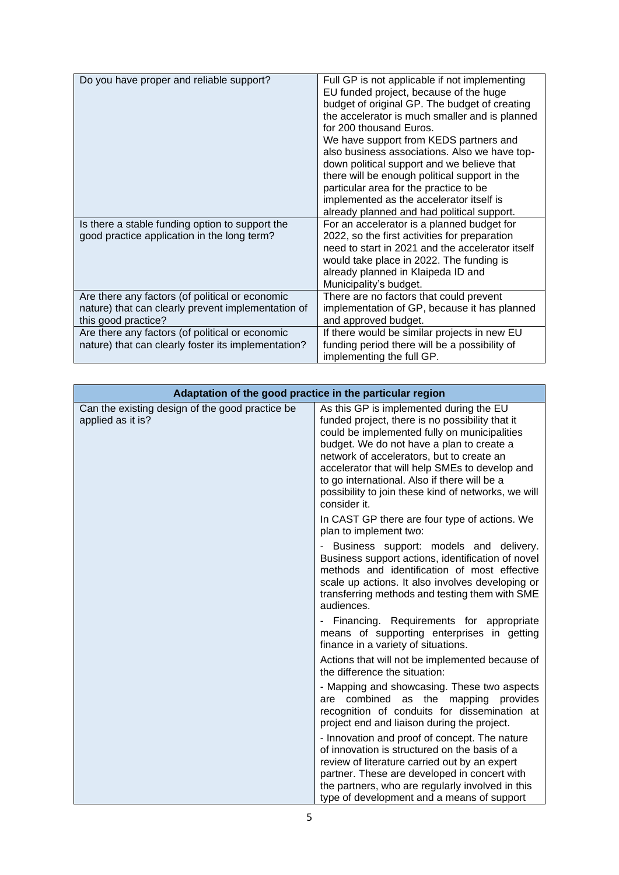| Do you have proper and reliable support?            | Full GP is not applicable if not implementing    |
|-----------------------------------------------------|--------------------------------------------------|
|                                                     | EU funded project, because of the huge           |
|                                                     | budget of original GP. The budget of creating    |
|                                                     | the accelerator is much smaller and is planned   |
|                                                     | for 200 thousand Euros.                          |
|                                                     | We have support from KEDS partners and           |
|                                                     | also business associations. Also we have top-    |
|                                                     | down political support and we believe that       |
|                                                     | there will be enough political support in the    |
|                                                     | particular area for the practice to be           |
|                                                     | implemented as the accelerator itself is         |
|                                                     | already planned and had political support.       |
| Is there a stable funding option to support the     | For an accelerator is a planned budget for       |
| good practice application in the long term?         | 2022, so the first activities for preparation    |
|                                                     | need to start in 2021 and the accelerator itself |
|                                                     | would take place in 2022. The funding is         |
|                                                     | already planned in Klaipeda ID and               |
|                                                     | Municipality's budget.                           |
| Are there any factors (of political or economic     | There are no factors that could prevent          |
| nature) that can clearly prevent implementation of  | implementation of GP, because it has planned     |
| this good practice?                                 | and approved budget.                             |
| Are there any factors (of political or economic     | If there would be similar projects in new EU     |
| nature) that can clearly foster its implementation? | funding period there will be a possibility of    |
|                                                     | implementing the full GP.                        |

| Adaptation of the good practice in the particular region             |                                                                                                                                                                                                                                                                                                                                                                                                               |
|----------------------------------------------------------------------|---------------------------------------------------------------------------------------------------------------------------------------------------------------------------------------------------------------------------------------------------------------------------------------------------------------------------------------------------------------------------------------------------------------|
| Can the existing design of the good practice be<br>applied as it is? | As this GP is implemented during the EU<br>funded project, there is no possibility that it<br>could be implemented fully on municipalities<br>budget. We do not have a plan to create a<br>network of accelerators, but to create an<br>accelerator that will help SMEs to develop and<br>to go international. Also if there will be a<br>possibility to join these kind of networks, we will<br>consider it. |
|                                                                      | In CAST GP there are four type of actions. We<br>plan to implement two:                                                                                                                                                                                                                                                                                                                                       |
|                                                                      | Business support: models and delivery.<br>Business support actions, identification of novel<br>methods and identification of most effective<br>scale up actions. It also involves developing or<br>transferring methods and testing them with SME<br>audiences.                                                                                                                                               |
|                                                                      | - Financing. Requirements for appropriate<br>means of supporting enterprises in getting<br>finance in a variety of situations.                                                                                                                                                                                                                                                                                |
|                                                                      | Actions that will not be implemented because of<br>the difference the situation:                                                                                                                                                                                                                                                                                                                              |
|                                                                      | - Mapping and showcasing. These two aspects<br>are combined as the mapping provides<br>recognition of conduits for dissemination at<br>project end and liaison during the project.                                                                                                                                                                                                                            |
|                                                                      | - Innovation and proof of concept. The nature<br>of innovation is structured on the basis of a<br>review of literature carried out by an expert<br>partner. These are developed in concert with<br>the partners, who are regularly involved in this<br>type of development and a means of support                                                                                                             |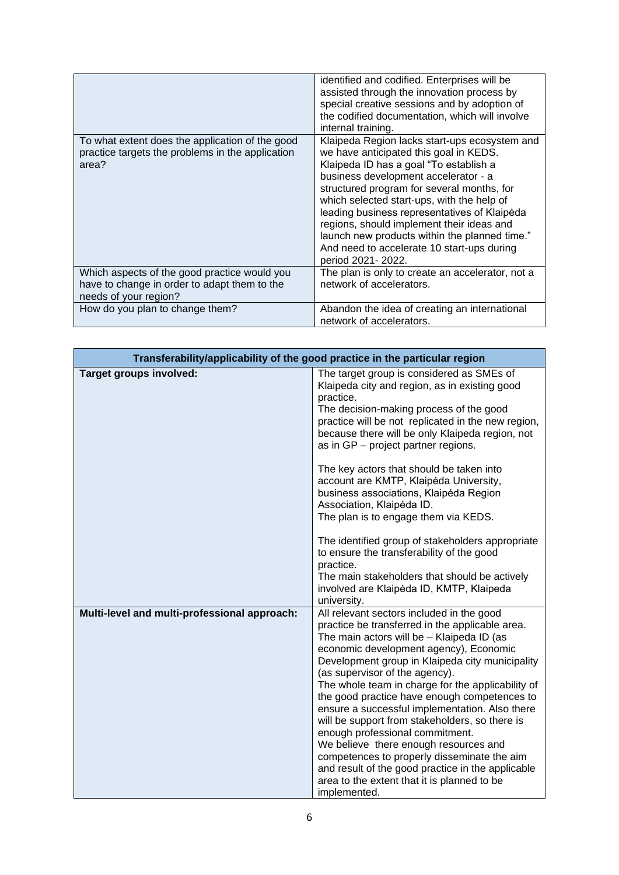|                                                                                                                       | identified and codified. Enterprises will be<br>assisted through the innovation process by<br>special creative sessions and by adoption of<br>the codified documentation, which will involve<br>internal training.                                                                                                                                                                                                                                                                     |
|-----------------------------------------------------------------------------------------------------------------------|----------------------------------------------------------------------------------------------------------------------------------------------------------------------------------------------------------------------------------------------------------------------------------------------------------------------------------------------------------------------------------------------------------------------------------------------------------------------------------------|
| To what extent does the application of the good<br>practice targets the problems in the application<br>area?          | Klaipeda Region lacks start-ups ecosystem and<br>we have anticipated this goal in KEDS.<br>Klaipeda ID has a goal "To establish a<br>business development accelerator - a<br>structured program for several months, for<br>which selected start-ups, with the help of<br>leading business representatives of Klaipėda<br>regions, should implement their ideas and<br>launch new products within the planned time."<br>And need to accelerate 10 start-ups during<br>period 2021-2022. |
| Which aspects of the good practice would you<br>have to change in order to adapt them to the<br>needs of your region? | The plan is only to create an accelerator, not a<br>network of accelerators.                                                                                                                                                                                                                                                                                                                                                                                                           |
| How do you plan to change them?                                                                                       | Abandon the idea of creating an international<br>network of accelerators.                                                                                                                                                                                                                                                                                                                                                                                                              |

| Transferability/applicability of the good practice in the particular region |                                                                                                                                                                                                                                                                                                                                                                                                                                                                                                                                                                                                                                                                                                                                  |
|-----------------------------------------------------------------------------|----------------------------------------------------------------------------------------------------------------------------------------------------------------------------------------------------------------------------------------------------------------------------------------------------------------------------------------------------------------------------------------------------------------------------------------------------------------------------------------------------------------------------------------------------------------------------------------------------------------------------------------------------------------------------------------------------------------------------------|
| Target groups involved:                                                     | The target group is considered as SMEs of<br>Klaipeda city and region, as in existing good<br>practice.<br>The decision-making process of the good<br>practice will be not replicated in the new region,<br>because there will be only Klaipeda region, not<br>as in GP - project partner regions.<br>The key actors that should be taken into                                                                                                                                                                                                                                                                                                                                                                                   |
|                                                                             | account are KMTP, Klaipėda University,<br>business associations, Klaipėda Region<br>Association, Klaipėda ID.<br>The plan is to engage them via KEDS.                                                                                                                                                                                                                                                                                                                                                                                                                                                                                                                                                                            |
|                                                                             | The identified group of stakeholders appropriate<br>to ensure the transferability of the good<br>practice.<br>The main stakeholders that should be actively<br>involved are Klaipėda ID, KMTP, Klaipeda<br>university.                                                                                                                                                                                                                                                                                                                                                                                                                                                                                                           |
| Multi-level and multi-professional approach:                                | All relevant sectors included in the good<br>practice be transferred in the applicable area.<br>The main actors will be - Klaipeda ID (as<br>economic development agency), Economic<br>Development group in Klaipeda city municipality<br>(as supervisor of the agency).<br>The whole team in charge for the applicability of<br>the good practice have enough competences to<br>ensure a successful implementation. Also there<br>will be support from stakeholders, so there is<br>enough professional commitment.<br>We believe there enough resources and<br>competences to properly disseminate the aim<br>and result of the good practice in the applicable<br>area to the extent that it is planned to be<br>implemented. |